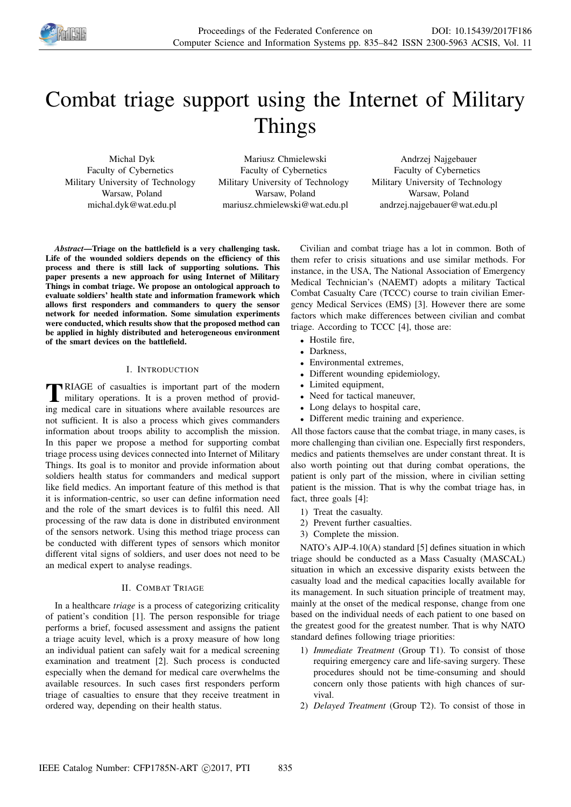

# Combat triage support using the Internet of Military Things

Michal Dyk Faculty of Cybernetics Military University of Technology Warsaw, Poland michal.dyk@wat.edu.pl

Mariusz Chmielewski Faculty of Cybernetics Military University of Technology Warsaw, Poland mariusz.chmielewski@wat.edu.pl

Andrzej Najgebauer Faculty of Cybernetics Military University of Technology Warsaw, Poland andrzej.najgebauer@wat.edu.pl

*Abstract*—Triage on the battlefield is a very challenging task. Life of the wounded soldiers depends on the efficiency of this process and there is still lack of supporting solutions. This paper presents a new approach for using Internet of Military Things in combat triage. We propose an ontological approach to evaluate soldiers' health state and information framework which allows first responders and commanders to query the sensor network for needed information. Some simulation experiments were conducted, which results show that the proposed method can be applied in highly distributed and heterogeneous environment of the smart devices on the battlefield.

# I. INTRODUCTION

TRIAGE of casualties is important part of the modern<br>military operations. It is a proven method of provid-RIAGE of casualties is important part of the modern ing medical care in situations where available resources are not sufficient. It is also a process which gives commanders information about troops ability to accomplish the mission. In this paper we propose a method for supporting combat triage process using devices connected into Internet of Military Things. Its goal is to monitor and provide information about soldiers health status for commanders and medical support like field medics. An important feature of this method is that it is information-centric, so user can define information need and the role of the smart devices is to fulfil this need. All processing of the raw data is done in distributed environment of the sensors network. Using this method triage process can be conducted with different types of sensors which monitor different vital signs of soldiers, and user does not need to be an medical expert to analyse readings.

#### II. COMBAT TRIAGE

In a healthcare *triage* is a process of categorizing criticality of patient's condition [1]. The person responsible for triage performs a brief, focused assessment and assigns the patient a triage acuity level, which is a proxy measure of how long an individual patient can safely wait for a medical screening examination and treatment [2]. Such process is conducted especially when the demand for medical care overwhelms the available resources. In such cases first responders perform triage of casualties to ensure that they receive treatment in ordered way, depending on their health status.

Civilian and combat triage has a lot in common. Both of them refer to crisis situations and use similar methods. For instance, in the USA, The National Association of Emergency Medical Technician's (NAEMT) adopts a military Tactical Combat Casualty Care (TCCC) course to train civilian Emergency Medical Services (EMS) [3]. However there are some factors which make differences between civilian and combat triage. According to TCCC [4], those are:

- Hostile fire,
- Darkness,
- Environmental extremes,
- Different wounding epidemiology,
- Limited equipment,
- Need for tactical maneuver,
- Long delays to hospital care,
- Different medic training and experience.

All those factors cause that the combat triage, in many cases, is more challenging than civilian one. Especially first responders, medics and patients themselves are under constant threat. It is also worth pointing out that during combat operations, the patient is only part of the mission, where in civilian setting patient is the mission. That is why the combat triage has, in fact, three goals [4]:

- 1) Treat the casualty.
- 2) Prevent further casualties.
- 3) Complete the mission.

NATO's AJP-4.10(A) standard [5] defines situation in which triage should be conducted as a Mass Casualty (MASCAL) situation in which an excessive disparity exists between the casualty load and the medical capacities locally available for its management. In such situation principle of treatment may, mainly at the onset of the medical response, change from one based on the individual needs of each patient to one based on the greatest good for the greatest number. That is why NATO standard defines following triage priorities:

- 1) *Immediate Treatment* (Group T1). To consist of those requiring emergency care and life-saving surgery. These procedures should not be time-consuming and should concern only those patients with high chances of survival.
- 2) *Delayed Treatment* (Group T2). To consist of those in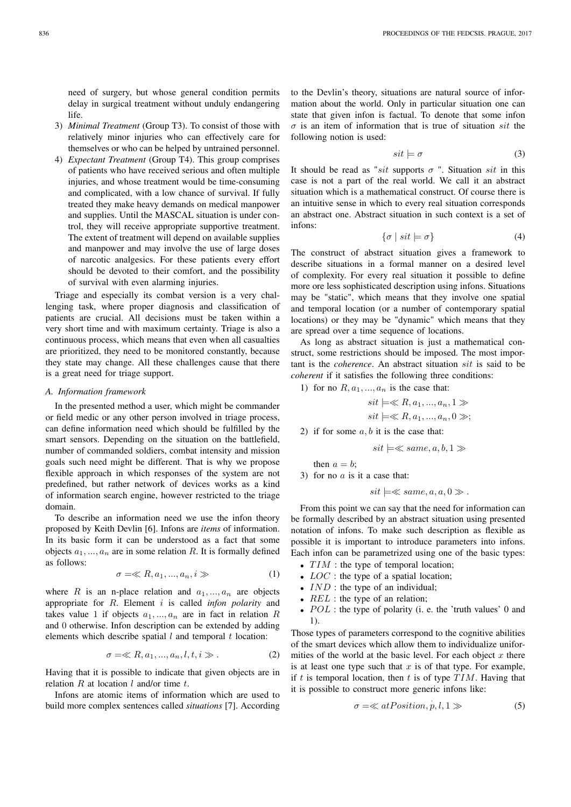need of surgery, but whose general condition permits delay in surgical treatment without unduly endangering life.

- 3) *Minimal Treatment* (Group T3). To consist of those with relatively minor injuries who can effectively care for themselves or who can be helped by untrained personnel.
- 4) *Expectant Treatment* (Group T4). This group comprises of patients who have received serious and often multiple injuries, and whose treatment would be time-consuming and complicated, with a low chance of survival. If fully treated they make heavy demands on medical manpower and supplies. Until the MASCAL situation is under control, they will receive appropriate supportive treatment. The extent of treatment will depend on available supplies and manpower and may involve the use of large doses of narcotic analgesics. For these patients every effort should be devoted to their comfort, and the possibility of survival with even alarming injuries.

Triage and especially its combat version is a very challenging task, where proper diagnosis and classification of patients are crucial. All decisions must be taken within a very short time and with maximum certainty. Triage is also a continuous process, which means that even when all casualties are prioritized, they need to be monitored constantly, because they state may change. All these challenges cause that there is a great need for triage support.

### *A. Information framework*

In the presented method a user, which might be commander or field medic or any other person involved in triage process, can define information need which should be fulfilled by the smart sensors. Depending on the situation on the battlefield, number of commanded soldiers, combat intensity and mission goals such need might be different. That is why we propose flexible approach in which responses of the system are not predefined, but rather network of devices works as a kind of information search engine, however restricted to the triage domain.

To describe an information need we use the infon theory proposed by Keith Devlin [6]. Infons are *items* of information. In its basic form it can be understood as a fact that some objects  $a_1, ..., a_n$  are in some relation R. It is formally defined as follows:

$$
\sigma = \ll R, a_1, \ldots, a_n, i \gg \tag{1}
$$

where R is an n-place relation and  $a_1, ..., a_n$  are objects appropriate for R. Element i is called *infon polarity* and takes value 1 if objects  $a_1, ..., a_n$  are in fact in relation R and 0 otherwise. Infon description can be extended by adding elements which describe spatial  $l$  and temporal  $t$  location:

$$
\sigma = \ll R, a_1, \ldots, a_n, l, t, i \gg. \tag{2}
$$

Having that it is possible to indicate that given objects are in relation  $R$  at location  $l$  and/or time  $t$ .

Infons are atomic items of information which are used to build more complex sentences called *situations* [7]. According to the Devlin's theory, situations are natural source of information about the world. Only in particular situation one can state that given infon is factual. To denote that some infon  $\sigma$  is an item of information that is true of situation sit the following notion is used:

$$
sit \models \sigma \tag{3}
$$

It should be read as "sit supports  $\sigma$ ". Situation sit in this case is not a part of the real world. We call it an abstract situation which is a mathematical construct. Of course there is an intuitive sense in which to every real situation corresponds an abstract one. Abstract situation in such context is a set of infons:

$$
\{\sigma \mid sit \models \sigma\} \tag{4}
$$

The construct of abstract situation gives a framework to describe situations in a formal manner on a desired level of complexity. For every real situation it possible to define more ore less sophisticated description using infons. Situations may be "static", which means that they involve one spatial and temporal location (or a number of contemporary spatial locations) or they may be "dynamic" which means that they are spread over a time sequence of locations.

As long as abstract situation is just a mathematical construct, some restrictions should be imposed. The most important is the *coherence*. An abstract situation sit is said to be *coherent* if it satisfies the following three conditions:

1) for no  $R, a_1, \ldots, a_n$  is the case that:

$$
sit \models \ll R, a_1, ..., a_n, 1 \gg
$$
  

$$
sit \models \ll R, a_1, ..., a_n, 0 \gg;
$$

2) if for some  $a, b$  it is the case that:

$$
sit \models \ll same, a, b, 1 \gg
$$

then  $a = b$ ;

3) for no  $a$  is it a case that:

$$
sit \models \ll same, a, a, 0 \gg.
$$

From this point we can say that the need for information can be formally described by an abstract situation using presented notation of infons. To make such description as flexible as possible it is important to introduce parameters into infons. Each infon can be parametrized using one of the basic types:

- $TIM$ : the type of temporal location;
- $LOC$ : the type of a spatial location;
- $IND$ : the type of an individual;
- $REL$ : the type of an relation;
- $POL:$  the type of polarity (i. e. the 'truth values' 0 and 1).

Those types of parameters correspond to the cognitive abilities of the smart devices which allow them to individualize uniformities of the world at the basic level. For each object  $x$  there is at least one type such that  $x$  is of that type. For example, if t is temporal location, then t is of type  $TIM$ . Having that it is possible to construct more generic infons like:

$$
\sigma = \ll atPosition, p, l, 1 \gg (5)
$$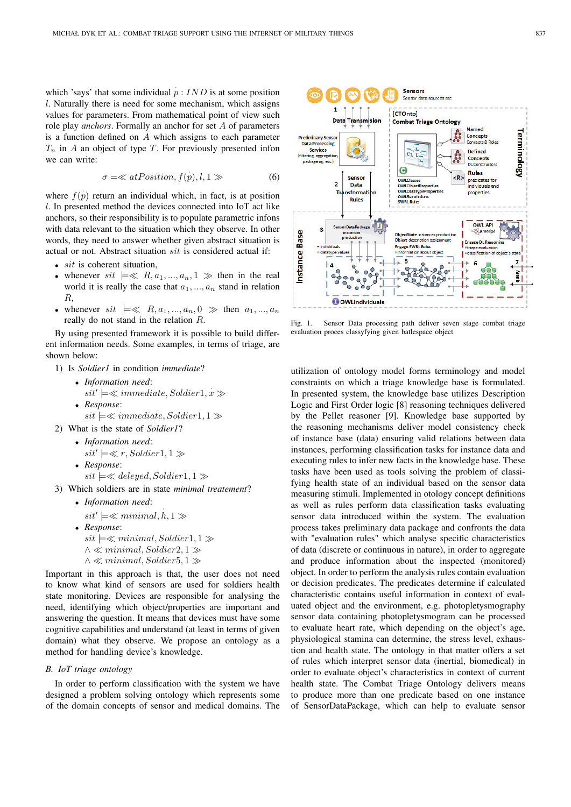which 'says' that some individual  $\dot{p}$  : *IND* is at some position l. Naturally there is need for some mechanism, which assigns values for parameters. From mathematical point of view such role play *anchors*. Formally an anchor for set A of parameters is a function defined on  $A$  which assigns to each parameter  $T_n$  in A an object of type T. For previously presented infon we can write:

$$
\sigma = \ll atPosition, f(p), l, 1 \gg \tag{6}
$$

where  $f(p)$  return an individual which, in fact, is at position l. In presented method the devices connected into IoT act like anchors, so their responsibility is to populate parametric infons with data relevant to the situation which they observe. In other words, they need to answer whether given abstract situation is actual or not. Abstract situation sit is considered actual if:

- sit is coherent situation.
- whenever sit  $\models \ll R, a_1, ..., a_n, 1 \gg$  then in the real world it is really the case that  $a_1, ..., a_n$  stand in relation  $R_{\cdot}$
- whenever  $sit \models \ll R, a_1, ..., a_n, 0 \gg \text{then } a_1, ..., a_n$ really do not stand in the relation R.

By using presented framework it is possible to build different information needs. Some examples, in terms of triage, are shown below:

- 1) Is *Soldier1* in condition *immediate*?
	- *Information need*:  $\textit{sit}' \models \ll \textit{immediate}, \textit{Solder1}, \textit{x} \gg$ • *Response*:
	- $sit \models \ll immediate, Solder1, 1 \gg$
- 2) What is the state of *Soldier1*?
	- *Information need*:  $\det' \models \ll r, \textit{Solder1}, 1 \gg$
	- *Response*:  $sit \models \ll \mathit{delayed}, \mathit{Soldier1}, 1 \gg$
- 3) Which soldiers are in state *minimal treatement*?
	- *Information need*:
		- $\det' \models \ll minimal, h, 1 \gg$
	- *Response*:  $sit \models \ll minimal$ , Soldier1, 1  $∧ \ll minimal, Solder2, 1 \gg$  $\land \ll minimal$ , Soldier 5, 1  $\gg$

Important in this approach is that, the user does not need to know what kind of sensors are used for soldiers health state monitoring. Devices are responsible for analysing the need, identifying which object/properties are important and answering the question. It means that devices must have some cognitive capabilities and understand (at least in terms of given domain) what they observe. We propose an ontology as a method for handling device's knowledge.

# *B. IoT triage ontology*

In order to perform classification with the system we have designed a problem solving ontology which represents some of the domain concepts of sensor and medical domains. The



Fig. 1. Sensor Data processing path deliver seven stage combat triage evaluation proces classyfying given batlespace object

utilization of ontology model forms terminology and model constraints on which a triage knowledge base is formulated. In presented system, the knowledge base utilizes Description Logic and First Order logic [8] reasoning techniques delivered by the Pellet reasoner [9]. Knowledge base supported by the reasoning mechanisms deliver model consistency check of instance base (data) ensuring valid relations between data instances, performing classification tasks for instance data and executing rules to infer new facts in the knowledge base. These tasks have been used as tools solving the problem of classifying health state of an individual based on the sensor data measuring stimuli. Implemented in otology concept definitions as well as rules perform data classification tasks evaluating sensor data introduced within the system. The evaluation process takes preliminary data package and confronts the data with "evaluation rules" which analyse specific characteristics of data (discrete or continuous in nature), in order to aggregate and produce information about the inspected (monitored) object. In order to perform the analysis rules contain evaluation or decision predicates. The predicates determine if calculated characteristic contains useful information in context of evaluated object and the environment, e.g. photopletysmography sensor data containing photopletysmogram can be processed to evaluate heart rate, which depending on the object's age, physiological stamina can determine, the stress level, exhaustion and health state. The ontology in that matter offers a set of rules which interpret sensor data (inertial, biomedical) in order to evaluate object's characteristics in context of current health state. The Combat Triage Ontology delivers means to produce more than one predicate based on one instance of SensorDataPackage, which can help to evaluate sensor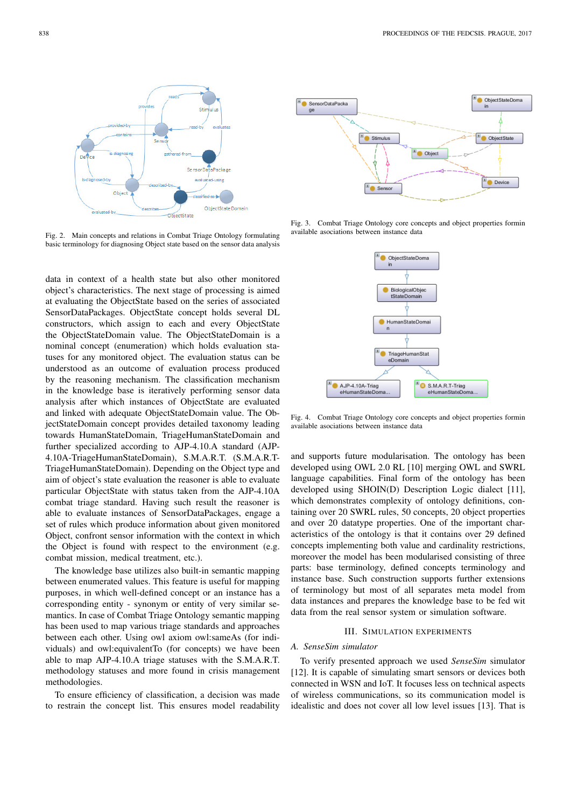

Fig. 2. Main concepts and relations in Combat Triage Ontology formulating basic terminology for diagnosing Object state based on the sensor data analysis

data in context of a health state but also other monitored object's characteristics. The next stage of processing is aimed at evaluating the ObjectState based on the series of associated SensorDataPackages. ObjectState concept holds several DL constructors, which assign to each and every ObjectState the ObjectStateDomain value. The ObjectStateDomain is a nominal concept (enumeration) which holds evaluation statuses for any monitored object. The evaluation status can be understood as an outcome of evaluation process produced by the reasoning mechanism. The classification mechanism in the knowledge base is iteratively performing sensor data analysis after which instances of ObjectState are evaluated and linked with adequate ObjectStateDomain value. The ObjectStateDomain concept provides detailed taxonomy leading towards HumanStateDomain, TriageHumanStateDomain and further specialized according to AJP-4.10.A standard (AJP-4.10A-TriageHumanStateDomain), S.M.A.R.T. (S.M.A.R.T-TriageHumanStateDomain). Depending on the Object type and aim of object's state evaluation the reasoner is able to evaluate particular ObjectState with status taken from the AJP-4.10A combat triage standard. Having such result the reasoner is able to evaluate instances of SensorDataPackages, engage a set of rules which produce information about given monitored Object, confront sensor information with the context in which the Object is found with respect to the environment (e.g. combat mission, medical treatment, etc.).

The knowledge base utilizes also built-in semantic mapping between enumerated values. This feature is useful for mapping purposes, in which well-defined concept or an instance has a corresponding entity - synonym or entity of very similar semantics. In case of Combat Triage Ontology semantic mapping has been used to map various triage standards and approaches between each other. Using owl axiom owl:sameAs (for individuals) and owl:equivalentTo (for concepts) we have been able to map AJP-4.10.A triage statuses with the S.M.A.R.T. methodology statuses and more found in crisis management methodologies.

To ensure efficiency of classification, a decision was made to restrain the concept list. This ensures model readability



Fig. 3. Combat Triage Ontology core concepts and object properties formin available asociations between instance data



Fig. 4. Combat Triage Ontology core concepts and object properties formin available asociations between instance data

and supports future modularisation. The ontology has been developed using OWL 2.0 RL [10] merging OWL and SWRL language capabilities. Final form of the ontology has been developed using SHOIN(D) Description Logic dialect [11], which demonstrates complexity of ontology definitions, containing over 20 SWRL rules, 50 concepts, 20 object properties and over 20 datatype properties. One of the important characteristics of the ontology is that it contains over 29 defined concepts implementing both value and cardinality restrictions, moreover the model has been modularised consisting of three parts: base terminology, defined concepts terminology and instance base. Such construction supports further extensions of terminology but most of all separates meta model from data instances and prepares the knowledge base to be fed wit data from the real sensor system or simulation software.

#### III. SIMULATION EXPERIMENTS

# *A. SenseSim simulator*

To verify presented approach we used *SenseSim* simulator [12]. It is capable of simulating smart sensors or devices both connected in WSN and IoT. It focuses less on technical aspects of wireless communications, so its communication model is idealistic and does not cover all low level issues [13]. That is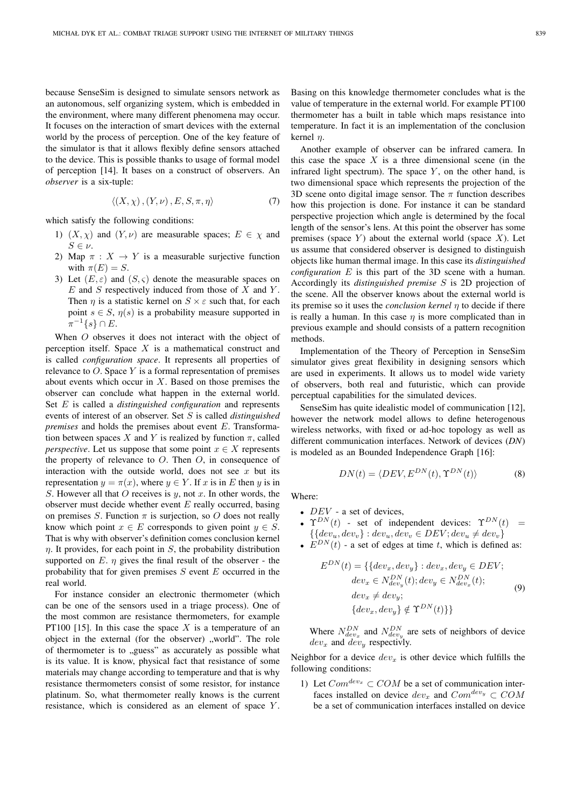because SenseSim is designed to simulate sensors network as an autonomous, self organizing system, which is embedded in the environment, where many different phenomena may occur. It focuses on the interaction of smart devices with the external world by the process of perception. One of the key feature of the simulator is that it allows flexibly define sensors attached to the device. This is possible thanks to usage of formal model of perception [14]. It bases on a construct of observers. An *observer* is a six-tuple:

$$
\langle (X, \chi), (Y, \nu), E, S, \pi, \eta \rangle \tag{7}
$$

which satisfy the following conditions:

- 1)  $(X, \chi)$  and  $(Y, \nu)$  are measurable spaces;  $E \in \chi$  and  $S \in \nu$ .
- 2) Map  $\pi : X \to Y$  is a measurable surjective function with  $\pi(E) = S$ .
- 3) Let  $(E, \varepsilon)$  and  $(S, \varsigma)$  denote the measurable spaces on  $E$  and  $S$  respectively induced from those of  $X$  and  $Y$ . Then *n* is a statistic kernel on  $S \times \varepsilon$  such that, for each point  $s \in S$ ,  $\eta(s)$  is a probability measure supported in  $\pi^{-1}\lbrace s \rbrace \cap E.$

When O observes it does not interact with the object of perception itself. Space  $X$  is a mathematical construct and is called *configuration space*. It represents all properties of relevance to  $O$ . Space  $Y$  is a formal representation of premises about events which occur in X. Based on those premises the observer can conclude what happen in the external world. Set E is called a *distinguished configuration* and represents events of interest of an observer. Set S is called *distinguished premises* and holds the premises about event E. Transformation between spaces X and Y is realized by function  $\pi$ , called *perspective*. Let us suppose that some point  $x \in X$  represents the property of relevance to  $O$ . Then  $O$ , in consequence of interaction with the outside world, does not see  $x$  but its representation  $y = \pi(x)$ , where  $y \in Y$ . If x is in E then y is in S. However all that O receives is y, not x. In other words, the observer must decide whether event  $E$  really occurred, basing on premises S. Function  $\pi$  is surjection, so O does not really know which point  $x \in E$  corresponds to given point  $y \in S$ . That is why with observer's definition comes conclusion kernel  $\eta$ . It provides, for each point in S, the probability distribution supported on  $E$ .  $\eta$  gives the final result of the observer - the probability that for given premises  $S$  event  $E$  occurred in the real world.

For instance consider an electronic thermometer (which can be one of the sensors used in a triage process). One of the most common are resistance thermometers, for example PT100 [15]. In this case the space  $X$  is a temperature of an object in the external (for the observer) "world". The role of thermometer is to "guess" as accurately as possible what is its value. It is know, physical fact that resistance of some materials may change according to temperature and that is why resistance thermometers consist of some resistor, for instance platinum. So, what thermometer really knows is the current resistance, which is considered as an element of space Y. Basing on this knowledge thermometer concludes what is the value of temperature in the external world. For example PT100 thermometer has a built in table which maps resistance into temperature. In fact it is an implementation of the conclusion kernel  $\eta$ .

Another example of observer can be infrared camera. In this case the space  $X$  is a three dimensional scene (in the infrared light spectrum). The space  $Y$ , on the other hand, is two dimensional space which represents the projection of the 3D scene onto digital image sensor. The  $\pi$  function describes how this projection is done. For instance it can be standard perspective projection which angle is determined by the focal length of the sensor's lens. At this point the observer has some premises (space  $Y$ ) about the external world (space  $X$ ). Let us assume that considered observer is designed to distinguish objects like human thermal image. In this case its *distinguished configuration*  $E$  is this part of the 3D scene with a human. Accordingly its *distinguished premise* S is 2D projection of the scene. All the observer knows about the external world is its premise so it uses the *conclusion kernel* η to decide if there is really a human. In this case  $\eta$  is more complicated than in previous example and should consists of a pattern recognition methods.

Implementation of the Theory of Perception in SenseSim simulator gives great flexibility in designing sensors which are used in experiments. It allows us to model wide variety of observers, both real and futuristic, which can provide perceptual capabilities for the simulated devices.

SenseSim has quite idealistic model of communication [12], however the network model allows to define heterogenous wireless networks, with fixed or ad-hoc topology as well as different communication interfaces. Network of devices (*DN*) is modeled as an Bounded Independence Graph [16]:

$$
DN(t) = \langle DEV, E^{DN}(t), \Upsilon^{DN}(t) \rangle \tag{8}
$$

Where:

- $DEV$  a set of devices.
- $\Upsilon^{DN}(t)$  set of independent devices:  $\Upsilon^{DN}(t)$  =  $\{\{dev_u, dev_v\} : dev_u, dev_v \in DEV; dev_u \neq dev_v\}$
- $E^{DN}(t)$  a set of edges at time t, which is defined as:

$$
E^{DN}(t) = \{ \{ dev_x, dev_y \} : dev_x, dev_y \in DEV; \newline dev_x \in N_{dev_y}^{DN}(t); dev_y \in N_{dev_x}^{DN}(t); \newline dev_x \neq dev_y; \newline \{ dev_x, dev_y \} \notin \Upsilon^{DN}(t) \} \}
$$
\n
$$
(9)
$$

Where  $N_{dev_x}^{DN}$  and  $N_{dev_y}^{DN}$  are sets of neighbors of device  $dev_x$  and  $dev_y$  respectivly.

Neighbor for a device  $dev_x$  is other device which fulfills the following conditions:

1) Let  $Com^{dev_x} \subset COM$  be a set of communication interfaces installed on device  $dev_x$  and  $Com^{dev_y} \subset COM$ be a set of communication interfaces installed on device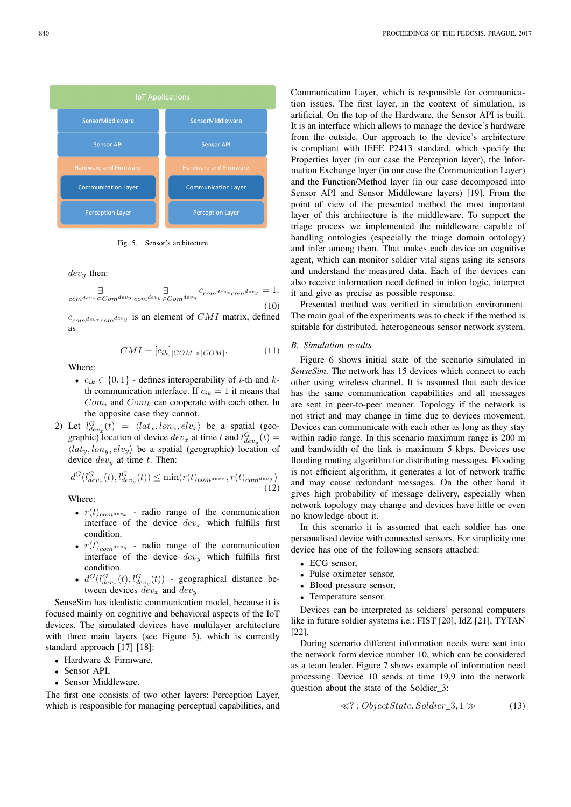

Fig. 5. Sensor's architecture

 $dev<sub>y</sub>$  then:

 $\exists \atop compute{com^{dev}}_x \in Com^{dev}{}_{y} \;com^{dev}{}_{y} \in Com^{dev}{}_{y} \in Com^{dev}{}_{y}$ (10)

 $c_{com^{dev_x}com^{dev_y}}$  is an element of  $CMI$  matrix, defined as

$$
CMI = [c_{ik}]_{|COM| \times |COM|}. \tag{11}
$$

Where:

- $c_{ik} \in \{0, 1\}$  defines interoperability of *i*-th and *k*th communication interface. If  $c_{ik} = 1$  it means that  $Com_i$  and  $Com_k$  can cooperate with each other. In the opposite case they cannot.
- 2) Let  $l_{dev_x}^G(t) = \langle lat_x, lon_x, elv_x \rangle$  be a spatial (geographic) location of device  $dev_x$  at time t and  $l_{dev_y}^G(t) =$  $\langle lat_y, lon_y, elv_y \rangle$  be a spatial (geographic) location of device  $dev_y$  at time t. Then:

$$
d^G(l_{dev_x}^G(t), l_{dev_y}^G(t)) \le \min(r(t)_{com^{dev_x}}, r(t)_{com^{dev_y}})
$$
\n(12)

Where:

- $r(t)_{comdev_x}$  radio range of the communication interface of the device  $dev_x$  which fulfills first condition.
- $r(t)_{com^{devy}}$  radio range of the communication interface of the device  $dev<sub>y</sub>$  which fulfills first condition.
- $d^G(l_{dev_x}^G(t), l_{dev_y}^G(t))$  geographical distance between devices  $dev_x$  and  $dev_y$

SenseSim has idealistic communication model, because it is focused mainly on cognitive and behavioral aspects of the IoT devices. The simulated devices have multilayer architecture with three main layers (see Figure 5), which is currently standard approach [17] [18]:

- Hardware & Firmware,
- Sensor API,
- Sensor Middleware.

The first one consists of two other layers: Perception Layer, which is responsible for managing perceptual capabilities, and Communication Layer, which is responsible for communication issues. The first layer, in the context of simulation, is artificial. On the top of the Hardware, the Sensor API is built. It is an interface which allows to manage the device's hardware from the outside. Our approach to the device's architecture is compliant with IEEE P2413 standard, which specify the Properties layer (in our case the Perception layer), the Information Exchange layer (in our case the Communication Layer) and the Function/Method layer (in our case decomposed into Sensor API and Sensor Middleware layers) [19]. From the point of view of the presented method the most important layer of this architecture is the middleware. To support the triage process we implemented the middleware capable of handling ontologies (especially the triage domain ontology) and infer among them. That makes each device an cognitive agent, which can monitor soldier vital signs using its sensors and understand the measured data. Each of the devices can also receive information need defined in infon logic, interpret it and give as precise as possible response.

Presented method was verified in simulation environment. The main goal of the experiments was to check if the method is suitable for distributed, heterogeneous sensor network system.

### *B. Simulation results*

Figure 6 shows initial state of the scenario simulated in *SenseSim*. The network has 15 devices which connect to each other using wireless channel. It is assumed that each device has the same communication capabilities and all messages are sent in peer-to-peer meaner. Topology if the network is not strict and may change in time due to devices movement. Devices can communicate with each other as long as they stay within radio range. In this scenario maximum range is 200 m and bandwidth of the link is maximum 5 kbps. Devices use flooding routing algorithm for distributing messages. Flooding is not efficient algorithm, it generates a lot of network traffic and may cause redundant messages. On the other hand it gives high probability of message delivery, especially when network topology may change and devices have little or even no knowledge about it.

In this scenario it is assumed that each soldier has one personalised device with connected sensors. For simplicity one device has one of the following sensors attached:

- ECG sensor,
- Pulse oximeter sensor,
- Blood pressure sensor,
- Temperature sensor.

Devices can be interpreted as soldiers' personal computers like in future soldier systems i.e.: FIST [20], IdZ [21], TYTAN [22].

During scenario different information needs were sent into the network form device number 10, which can be considered as a team leader. Figure 7 shows example of information need processing. Device 10 sends at time 19,9 into the network question about the state of the Soldier\_3:

$$
\ll\!\!\!\ll!\;\;: ObjectState, Solidier\_3, 1 \gg \qquad \qquad (13)
$$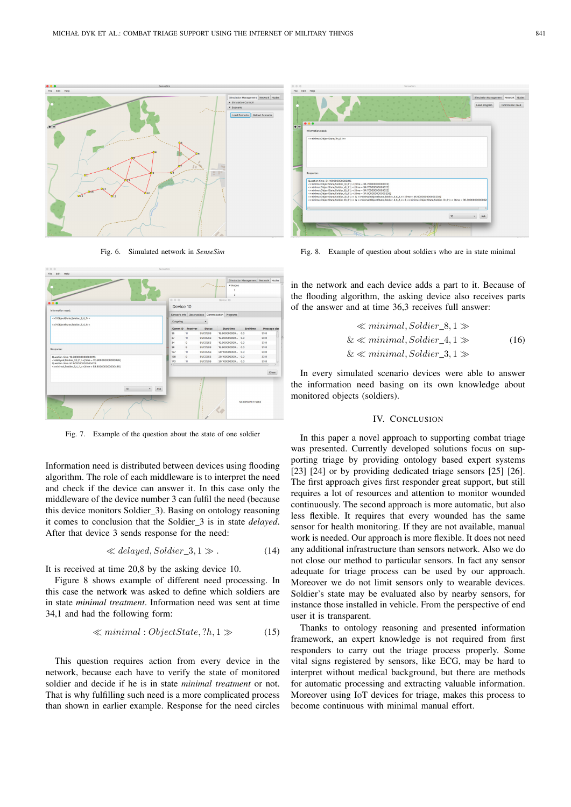

Fig. 6. Simulated network in *SenseSim*



Fig. 7. Example of the question about the state of one soldier

Information need is distributed between devices using flooding algorithm. The role of each middleware is to interpret the need and check if the device can answer it. In this case only the middleware of the device number 3 can fulfil the need (because this device monitors Soldier\_3). Basing on ontology reasoning it comes to conclusion that the Soldier\_3 is in state *delayed*. After that device 3 sends response for the need:

$$
\ll delayed, Soldier\_3, 1 \gg. \tag{14}
$$

It is received at time 20,8 by the asking device 10.

Figure 8 shows example of different need processing. In this case the network was asked to define which soldiers are in state *minimal treatment*. Information need was sent at time 34,1 and had the following form:

$$
\ll minimal: ObjectState, ?h, 1 \gg (15)
$$

This question requires action from every device in the network, because each have to verify the state of monitored soldier and decide if he is in state *minimal treatment* or not. That is why fulfilling such need is a more complicated process than shown in earlier example. Response for the need circles



Fig. 8. Example of question about soldiers who are in state minimal

in the network and each device adds a part to it. Because of the flooding algorithm, the asking device also receives parts of the answer and at time 36,3 receives full answer:

$$
\langle \text{minimal, Soldier}_.8, 1 \rangle
$$
\n
$$
\& \langle \text{minimal, Soldier}_.4, 1 \rangle
$$
\n
$$
\& \langle \text{minimal, Soldier}_.3, 1 \rangle
$$
\n
$$
(16)
$$

In every simulated scenario devices were able to answer the information need basing on its own knowledge about monitored objects (soldiers).

# IV. CONCLUSION

In this paper a novel approach to supporting combat triage was presented. Currently developed solutions focus on supporting triage by providing ontology based expert systems [23] [24] or by providing dedicated triage sensors [25] [26]. The first approach gives first responder great support, but still requires a lot of resources and attention to monitor wounded continuously. The second approach is more automatic, but also less flexible. It requires that every wounded has the same sensor for health monitoring. If they are not available, manual work is needed. Our approach is more flexible. It does not need any additional infrastructure than sensors network. Also we do not close our method to particular sensors. In fact any sensor adequate for triage process can be used by our approach. Moreover we do not limit sensors only to wearable devices. Soldier's state may be evaluated also by nearby sensors, for instance those installed in vehicle. From the perspective of end user it is transparent.

Thanks to ontology reasoning and presented information framework, an expert knowledge is not required from first responders to carry out the triage process properly. Some vital signs registered by sensors, like ECG, may be hard to interpret without medical background, but there are methods for automatic processing and extracting valuable information. Moreover using IoT devices for triage, makes this process to become continuous with minimal manual effort.